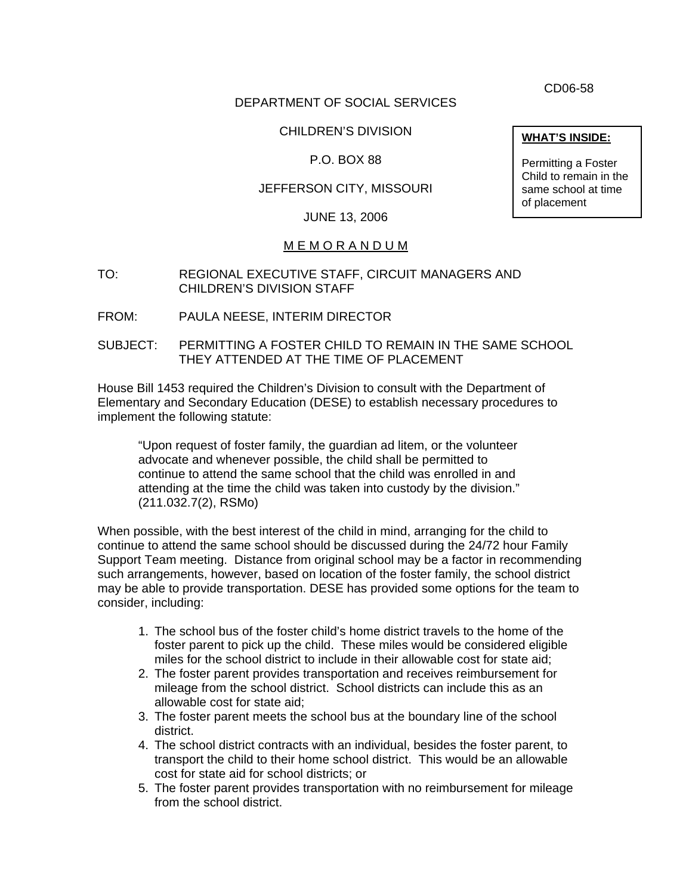CD06-58

### DEPARTMENT OF SOCIAL SERVICES

# CHILDREN'S DIVISION **WHAT'S INSIDE:**

## P.O. BOX 88

## JEFFERSON CITY, MISSOURI

#### JUNE 13, 2006

#### M E M O R A N D U M

- TO: REGIONAL EXECUTIVE STAFF, CIRCUIT MANAGERS AND CHILDREN'S DIVISION STAFF
- FROM: PAULA NEESE, INTERIM DIRECTOR
- SUBJECT: PERMITTING A FOSTER CHILD TO REMAIN IN THE SAME SCHOOL THEY ATTENDED AT THE TIME OF PLACEMENT

House Bill 1453 required the Children's Division to consult with the Department of Elementary and Secondary Education (DESE) to establish necessary procedures to implement the following statute:

"Upon request of foster family, the guardian ad litem, or the volunteer advocate and whenever possible, the child shall be permitted to continue to attend the same school that the child was enrolled in and attending at the time the child was taken into custody by the division." (211.032.7(2), RSMo)

When possible, with the best interest of the child in mind, arranging for the child to continue to attend the same school should be discussed during the 24/72 hour Family Support Team meeting. Distance from original school may be a factor in recommending such arrangements, however, based on location of the foster family, the school district may be able to provide transportation. DESE has provided some options for the team to consider, including:

- 1. The school bus of the foster child's home district travels to the home of the foster parent to pick up the child. These miles would be considered eligible miles for the school district to include in their allowable cost for state aid;
- 2. The foster parent provides transportation and receives reimbursement for mileage from the school district. School districts can include this as an allowable cost for state aid;
- 3. The foster parent meets the school bus at the boundary line of the school district.
- 4. The school district contracts with an individual, besides the foster parent, to transport the child to their home school district. This would be an allowable cost for state aid for school districts; or
- 5. The foster parent provides transportation with no reimbursement for mileage from the school district.

Permitting a Foster Child to remain in the same school at time of placement